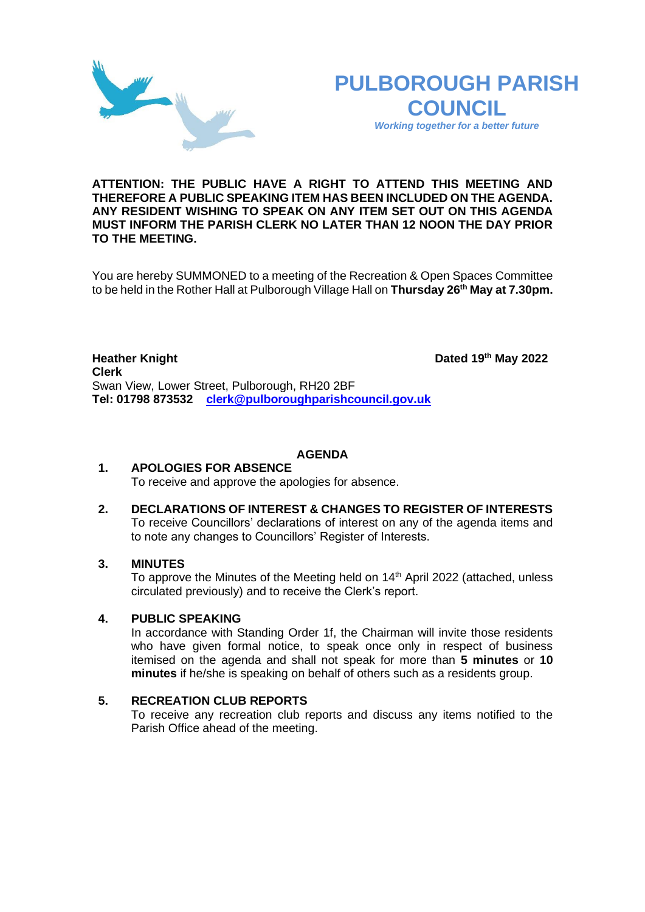



*Working together for a better future*

### **ATTENTION: THE PUBLIC HAVE A RIGHT TO ATTEND THIS MEETING AND THEREFORE A PUBLIC SPEAKING ITEM HAS BEEN INCLUDED ON THE AGENDA. ANY RESIDENT WISHING TO SPEAK ON ANY ITEM SET OUT ON THIS AGENDA MUST INFORM THE PARISH CLERK NO LATER THAN 12 NOON THE DAY PRIOR TO THE MEETING.**

You are hereby SUMMONED to a meeting of the Recreation & Open Spaces Committee to be held in the Rother Hall at Pulborough Village Hall on **Thursday 26th May at 7.30pm.** 

**Heather Knight Dated** 19<sup>th</sup> May 2022 **Clerk**  Swan View, Lower Street, Pulborough, RH20 2BF **Tel: 01798 873532 [clerk@pulboroughparishcouncil.gov.uk](mailto:clerk@pulboroughparishcouncil.gov.uk)**

### **AGENDA**

#### **1. APOLOGIES FOR ABSENCE** To receive and approve the apologies for absence.

**2. DECLARATIONS OF INTEREST & CHANGES TO REGISTER OF INTERESTS** To receive Councillors' declarations of interest on any of the agenda items and to note any changes to Councillors' Register of Interests.

## **3. MINUTES**

To approve the Minutes of the Meeting held on  $14<sup>th</sup>$  April 2022 (attached, unless circulated previously) and to receive the Clerk's report.

# **4. PUBLIC SPEAKING**

In accordance with Standing Order 1f, the Chairman will invite those residents who have given formal notice, to speak once only in respect of business itemised on the agenda and shall not speak for more than **5 minutes** or **10 minutes** if he/she is speaking on behalf of others such as a residents group.

# **5. RECREATION CLUB REPORTS**

To receive any recreation club reports and discuss any items notified to the Parish Office ahead of the meeting.